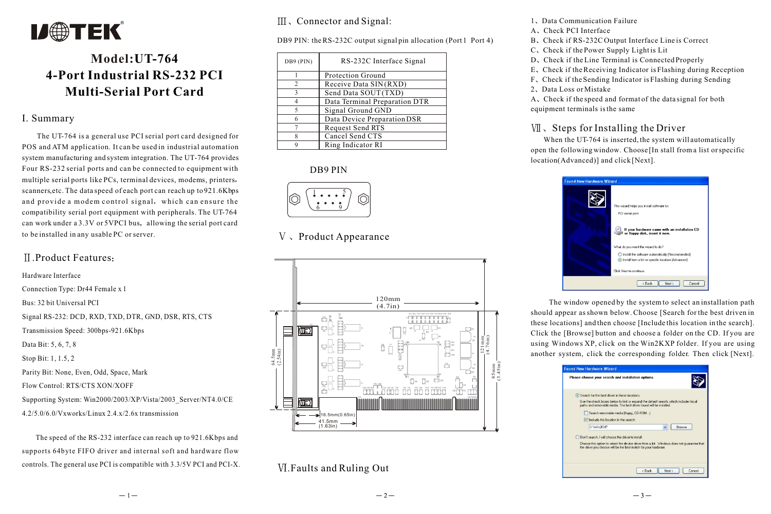

# **Model:UT-764 4-Port Industrial RS-232 PCI Multi-Serial Port Card**

#### I. Summary

 The UT-764 is a general use PCI serial port card designed for POS and ATM application. It can be used in industrial automation system manufacturing and system integration. The UT-764 provides Four RS-232 serial ports and can be connected to equipment with multiple serial ports like PCs, terminal devices, modems, printers scanners,etc. The data speed of each port can reach up to 921.6Kbps and provide a modem control signal, which can ensure the compatibility serial port equipment with peripherals. The UT-764 can work under a 3.3V or 5VPCI bus, allowing the serial port card to be installed in any usable PC or server.

### .Product Features

Hardware Interface Connection Type: Dr44 Female x 1 Bus: 32 bit Universal PCI Signal RS-232: DCD, RXD, TXD, DTR, GND, DSR, RTS, CTS Transmission Speed: 300bps-921.6Kbps Data Bit: 5, 6, 7, 8 Stop Bit: 1, 1.5, 2 Parity Bit: None, Even, Odd, Space, Mark Flow Control: RTS/CTS XON/XOFF Supporting System: Win2000/2003/XP/Vista/2003\_Server/NT4.0/CE 4.2/5.0/6.0/Vxworks/Linux 2.4.x/2.6x transmission

 The speed of the RS-232 interface can reach up to 921.6Kbps and supports 64byte FIFO driver and internal soft and hardware flow controls. The general use PCI is compatible with 3.3/5V PCI and PCI-X. III, Connector and Signal:

DB9 PIN: the RS-232C output signal pin allocation (Port 1 Port 4)

| DB9 (PIN)      | RS-232C Interface Signal      |
|----------------|-------------------------------|
|                | Protection Ground             |
| $\overline{c}$ | Receive Data SIN(RXD)         |
| 3              | Send Data SOUT(TXD)           |
|                | Data Terminal Preparation DTR |
|                | Signal Ground GND             |
|                | Data Device Preparation DSR   |
|                | Request Send RTS              |
|                | Cancel Send CTS               |
|                | Ring Indicator RI             |

#### DB9 PIN



# V. Product Appearance



# .Faults and Ruling Out

1. Data Communication Failure

- A Check PCI Interface
- B. Check if RS-232C Output Interface Line is Correct
- C. Check if the Power Supply Light is Lit
- D. Check if the Line Terminal is Connected Properly
- E. Check if the Receiving Indicator is Flashing during Reception
- F Check if the Sending Indicator is Flashing during Sending
- 2. Data Loss or Mistake

A Check if the speed and format of the data signal for both equipment terminals is the same

## $V\|$ . Steps for Installing the Driver

When the UT-764 is inserted, the system will automatically open the following window. Choose [In stall from a list or specific location(Advanced)] and click [Next].



 The window opened by the system to select an installation path should appear as shown below. Choose [Search for the best driven in these locations] and then choose [Include this location in the search]. Click the [Browse] button and choose a folder on the CD. If you are using Windows XP, click on the Win2KXP folder. If you are using another system, click the corresponding folder. Then click [Next].